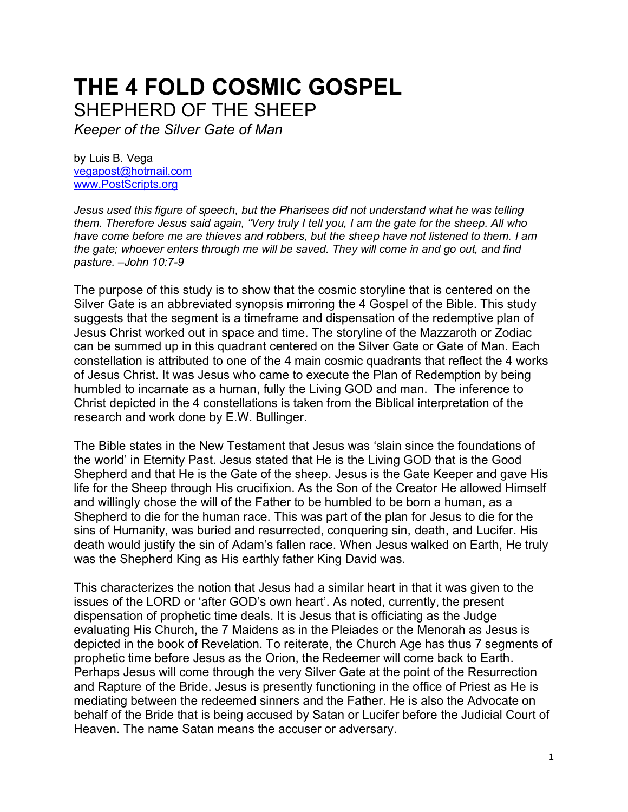## **THE 4 FOLD COSMIC GOSPEL**  SHEPHERD OF THE SHEEP

*Keeper of the Silver Gate of Man*

by Luis B. Vega [vegapost@hotmail.com](mailto:vegapost@hotmail.com) [www.PostScripts.org](http://www.postscripts.org/)

*Jesus used this figure of speech, but the Pharisees did not understand what he was telling them. Therefore Jesus said again, "Very truly I tell you, I am the gate for the sheep. All who have come before me are thieves and robbers, but the sheep have not listened to them. I am the gate; whoever enters through me will be saved. They will come in and go out, and find pasture. –John 10:7-9*

The purpose of this study is to show that the cosmic storyline that is centered on the Silver Gate is an abbreviated synopsis mirroring the 4 Gospel of the Bible. This study suggests that the segment is a timeframe and dispensation of the redemptive plan of Jesus Christ worked out in space and time. The storyline of the Mazzaroth or Zodiac can be summed up in this quadrant centered on the Silver Gate or Gate of Man. Each constellation is attributed to one of the 4 main cosmic quadrants that reflect the 4 works of Jesus Christ. It was Jesus who came to execute the Plan of Redemption by being humbled to incarnate as a human, fully the Living GOD and man. The inference to Christ depicted in the 4 constellations is taken from the Biblical interpretation of the research and work done by E.W. Bullinger.

The Bible states in the New Testament that Jesus was 'slain since the foundations of the world' in Eternity Past. Jesus stated that He is the Living GOD that is the Good Shepherd and that He is the Gate of the sheep. Jesus is the Gate Keeper and gave His life for the Sheep through His crucifixion. As the Son of the Creator He allowed Himself and willingly chose the will of the Father to be humbled to be born a human, as a Shepherd to die for the human race. This was part of the plan for Jesus to die for the sins of Humanity, was buried and resurrected, conquering sin, death, and Lucifer. His death would justify the sin of Adam's fallen race. When Jesus walked on Earth, He truly was the Shepherd King as His earthly father King David was.

This characterizes the notion that Jesus had a similar heart in that it was given to the issues of the LORD or 'after GOD's own heart'. As noted, currently, the present dispensation of prophetic time deals. It is Jesus that is officiating as the Judge evaluating His Church, the 7 Maidens as in the Pleiades or the Menorah as Jesus is depicted in the book of Revelation. To reiterate, the Church Age has thus 7 segments of prophetic time before Jesus as the Orion, the Redeemer will come back to Earth. Perhaps Jesus will come through the very Silver Gate at the point of the Resurrection and Rapture of the Bride. Jesus is presently functioning in the office of Priest as He is mediating between the redeemed sinners and the Father. He is also the Advocate on behalf of the Bride that is being accused by Satan or Lucifer before the Judicial Court of Heaven. The name Satan means the accuser or adversary.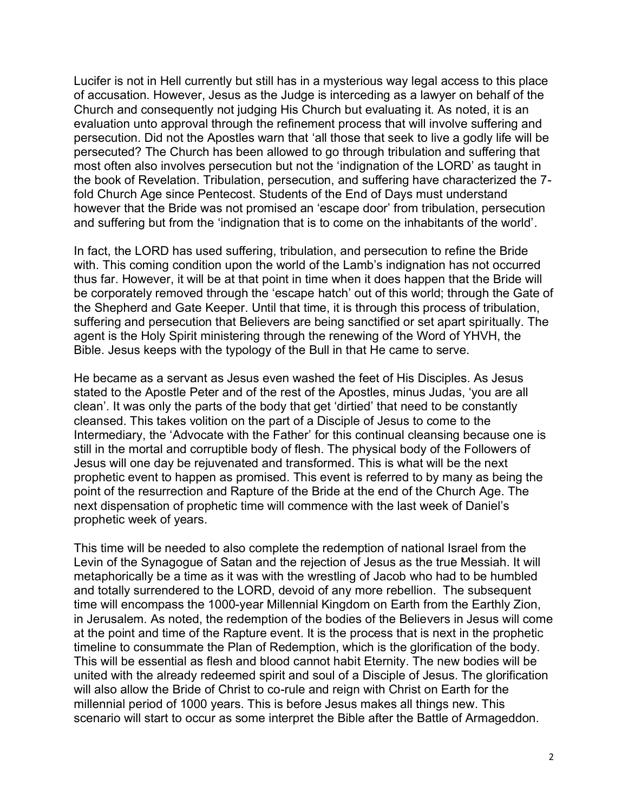Lucifer is not in Hell currently but still has in a mysterious way legal access to this place of accusation. However, Jesus as the Judge is interceding as a lawyer on behalf of the Church and consequently not judging His Church but evaluating it. As noted, it is an evaluation unto approval through the refinement process that will involve suffering and persecution. Did not the Apostles warn that 'all those that seek to live a godly life will be persecuted? The Church has been allowed to go through tribulation and suffering that most often also involves persecution but not the 'indignation of the LORD' as taught in the book of Revelation. Tribulation, persecution, and suffering have characterized the 7 fold Church Age since Pentecost. Students of the End of Days must understand however that the Bride was not promised an 'escape door' from tribulation, persecution and suffering but from the 'indignation that is to come on the inhabitants of the world'.

In fact, the LORD has used suffering, tribulation, and persecution to refine the Bride with. This coming condition upon the world of the Lamb's indignation has not occurred thus far. However, it will be at that point in time when it does happen that the Bride will be corporately removed through the 'escape hatch' out of this world; through the Gate of the Shepherd and Gate Keeper. Until that time, it is through this process of tribulation, suffering and persecution that Believers are being sanctified or set apart spiritually. The agent is the Holy Spirit ministering through the renewing of the Word of YHVH, the Bible. Jesus keeps with the typology of the Bull in that He came to serve.

He became as a servant as Jesus even washed the feet of His Disciples. As Jesus stated to the Apostle Peter and of the rest of the Apostles, minus Judas, 'you are all clean'. It was only the parts of the body that get 'dirtied' that need to be constantly cleansed. This takes volition on the part of a Disciple of Jesus to come to the Intermediary, the 'Advocate with the Father' for this continual cleansing because one is still in the mortal and corruptible body of flesh. The physical body of the Followers of Jesus will one day be rejuvenated and transformed. This is what will be the next prophetic event to happen as promised. This event is referred to by many as being the point of the resurrection and Rapture of the Bride at the end of the Church Age. The next dispensation of prophetic time will commence with the last week of Daniel's prophetic week of years.

This time will be needed to also complete the redemption of national Israel from the Levin of the Synagogue of Satan and the rejection of Jesus as the true Messiah. It will metaphorically be a time as it was with the wrestling of Jacob who had to be humbled and totally surrendered to the LORD, devoid of any more rebellion. The subsequent time will encompass the 1000-year Millennial Kingdom on Earth from the Earthly Zion, in Jerusalem. As noted, the redemption of the bodies of the Believers in Jesus will come at the point and time of the Rapture event. It is the process that is next in the prophetic timeline to consummate the Plan of Redemption, which is the glorification of the body. This will be essential as flesh and blood cannot habit Eternity. The new bodies will be united with the already redeemed spirit and soul of a Disciple of Jesus. The glorification will also allow the Bride of Christ to co-rule and reign with Christ on Earth for the millennial period of 1000 years. This is before Jesus makes all things new. This scenario will start to occur as some interpret the Bible after the Battle of Armageddon.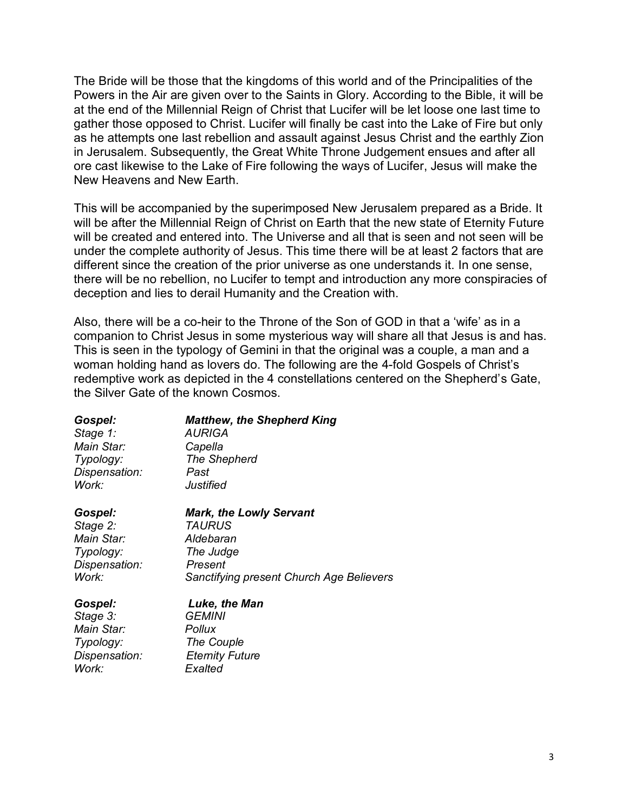The Bride will be those that the kingdoms of this world and of the Principalities of the Powers in the Air are given over to the Saints in Glory. According to the Bible, it will be at the end of the Millennial Reign of Christ that Lucifer will be let loose one last time to gather those opposed to Christ. Lucifer will finally be cast into the Lake of Fire but only as he attempts one last rebellion and assault against Jesus Christ and the earthly Zion in Jerusalem. Subsequently, the Great White Throne Judgement ensues and after all ore cast likewise to the Lake of Fire following the ways of Lucifer, Jesus will make the New Heavens and New Earth.

This will be accompanied by the superimposed New Jerusalem prepared as a Bride. It will be after the Millennial Reign of Christ on Earth that the new state of Eternity Future will be created and entered into. The Universe and all that is seen and not seen will be under the complete authority of Jesus. This time there will be at least 2 factors that are different since the creation of the prior universe as one understands it. In one sense, there will be no rebellion, no Lucifer to tempt and introduction any more conspiracies of deception and lies to derail Humanity and the Creation with.

Also, there will be a co-heir to the Throne of the Son of GOD in that a 'wife' as in a companion to Christ Jesus in some mysterious way will share all that Jesus is and has. This is seen in the typology of Gemini in that the original was a couple, a man and a woman holding hand as lovers do. The following are the 4-fold Gospels of Christ's redemptive work as depicted in the 4 constellations centered on the Shepherd's Gate, the Silver Gate of the known Cosmos.

| Gospel:       | <b>Matthew, the Shepherd King</b>        |
|---------------|------------------------------------------|
| Stage 1:      | AURIGA                                   |
| Main Star:    | Capella                                  |
| Typology:     | The Shepherd                             |
| Dispensation: | Past                                     |
| Work:         | Justified                                |
| Gospel:       | <b>Mark, the Lowly Servant</b>           |
| Stage 2:      | <i><b>TAURUS</b></i>                     |
| Main Star:    | Aldebaran                                |
| Typology:     | The Judge                                |
| Dispensation: | Present                                  |
| Work:         | Sanctifying present Church Age Believers |
| Gospel:       | Luke, the Man                            |
| Stage 3:      | <i><b>GEMINI</b></i>                     |
| Main Star:    | Pollux                                   |
| Typology:     | The Couple                               |
| Dispensation: | <b>Eternity Future</b>                   |
| Work:         | Exalted                                  |